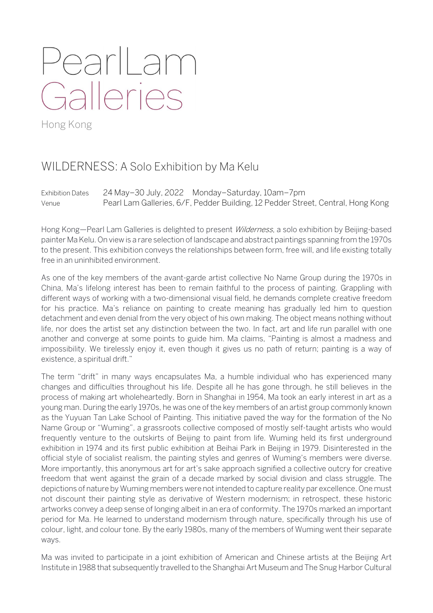## PearlLam Galleries

Hong Kong

## WILDERNESS: A Solo Exhibition by Ma Kelu

Exhibition Dates 24 May–30 July, 2022 Monday–Saturday, 10am–7pm Venue Pearl Lam Galleries, 6/F, Pedder Building, 12 Pedder Street, Central, Hong Kong

Hong Kong—Pearl Lam Galleries is delighted to present *Wilderness*, a solo exhibition by Beijing-based painter Ma Kelu. On view is a rare selection of landscape and abstract paintings spanning from the 1970s to the present. This exhibition conveys the relationships between form, free will, and life existing totally free in an uninhibited environment.

As one of the key members of the avant-garde artist collective No Name Group during the 1970s in China, Ma's lifelong interest has been to remain faithful to the process of painting. Grappling with different ways of working with a two-dimensional visual field, he demands complete creative freedom for his practice. Ma's reliance on painting to create meaning has gradually led him to question detachment and even denial from the very object of his own making. The object means nothing without life, nor does the artist set any distinction between the two. In fact, art and life run parallel with one another and converge at some points to guide him. Ma claims, "Painting is almost a madness and impossibility. We tirelessly enjoy it, even though it gives us no path of return; painting is a way of existence, a spiritual drift."

The term "drift" in many ways encapsulates Ma, a humble individual who has experienced many changes and difficulties throughout his life. Despite all he has gone through, he still believes in the process of making art wholeheartedly. Born in Shanghai in 1954, Ma took an early interest in art as a young man. During the early 1970s, he was one of the key members of an artist group commonly known as the Yuyuan Tan Lake School of Painting. This initiative paved the way for the formation of the No Name Group or "Wuming", a grassroots collective composed of mostly self-taught artists who would frequently venture to the outskirts of Beijing to paint from life. Wuming held its first underground exhibition in 1974 and its first public exhibition at Beihai Park in Beijing in 1979. Disinterested in the official style of socialist realism, the painting styles and genres of Wuming's members were diverse. More importantly, this anonymous art for art's sake approach signified a collective outcry for creative freedom that went against the grain of a decade marked by social division and class struggle. The depictions of nature by Wuming members were not intended to capture reality par excellence. One must not discount their painting style as derivative of Western modernism; in retrospect, these historic artworks convey a deep sense of longing albeit in an era of conformity. The 1970s marked an important period for Ma. He learned to understand modernism through nature, specifically through his use of colour, light, and colour tone. By the early 1980s, many of the members of Wuming went their separate ways.

Ma was invited to participate in a joint exhibition of American and Chinese artists at the Beijing Art Institute in 1988 that subsequently travelled to the Shanghai Art Museum and The Snug Harbor Cultural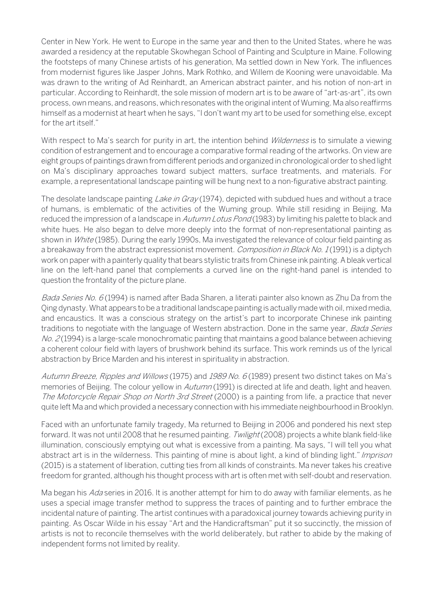Center in New York. He went to Europe in the same year and then to the United States, where he was awarded a residency at the reputable Skowhegan School of Painting and Sculpture in Maine. Following the footsteps of many Chinese artists of his generation, Ma settled down in New York. The influences from modernist figures like Jasper Johns, Mark Rothko, and Willem de Kooning were unavoidable. Ma was drawn to the writing of Ad Reinhardt, an American abstract painter, and his notion of non-art in particular. According to Reinhardt, the sole mission of modern art is to be aware of "art-as-art", its own process, own means, and reasons, which resonates with the original intent of Wuming. Ma also reaffirms himself as a modernist at heart when he says, "I don't want my art to be used for something else, except for the art itself."

With respect to Ma's search for purity in art, the intention behind *Wilderness* is to simulate a viewing condition of estrangement and to encourage a comparative formal reading of the artworks. On view are eight groups of paintings drawn from different periods and organized in chronological order to shed light on Ma's disciplinary approaches toward subject matters, surface treatments, and materials. For example, a representational landscape painting will be hung next to a non-figurative abstract painting.

The desolate landscape painting *Lake in Gray* (1974), depicted with subdued hues and without a trace of humans, is emblematic of the activities of the Wuming group. While still residing in Beijing, Ma reduced the impression of a landscape in *Autumn Lotus Pond* (1983) by limiting his palette to black and white hues. He also began to delve more deeply into the format of non-representational painting as shown in *White* (1985). During the early 1990s, Ma investigated the relevance of colour field painting as a breakaway from the abstract expressionist movement. Composition in Black No. 1(1991) is a diptych work on paper with a painterly quality that bears stylistic traits from Chinese ink painting. A bleak vertical line on the left-hand panel that complements a curved line on the right-hand panel is intended to question the frontality of the picture plane.

Bada Series No. 6 (1994) is named after Bada Sharen, a literati painter also known as Zhu Da from the Qing dynasty. What appears to be a traditional landscape painting is actually made with oil, mixed media, and encaustics. It was a conscious strategy on the artist's part to incorporate Chinese ink painting traditions to negotiate with the language of Western abstraction. Done in the same year, *Bada Series*  $No. 2(1994)$  is a large-scale monochromatic painting that maintains a good balance between achieving a coherent colour field with layers of brushwork behind its surface. This work reminds us of the lyrical abstraction by Brice Marden and his interest in spirituality in abstraction.

Autumn Breeze, Ripples and Willows (1975) and 1989 No. 6 (1989) present two distinct takes on Ma's memories of Beijing. The colour yellow in *Autumn* (1991) is directed at life and death, light and heaven. The Motorcycle Repair Shop on North 3rd Street (2000) is a painting from life, a practice that never quite left Ma and which provided a necessary connection with his immediate neighbourhood in Brooklyn.

Faced with an unfortunate family tragedy, Ma returned to Beijing in 2006 and pondered his next step forward. It was not until 2008 that he resumed painting. *Twilight* (2008) projects a white blank field-like illumination, consciously emptying out what is excessive from a painting. Ma says, "I will tell you what abstract art is in the wilderness. This painting of mine is about light, a kind of blinding light." Imprison (2015) is a statement of liberation, cutting ties from all kinds of constraints. Ma never takes his creative freedom for granted, although his thought process with art is often met with self-doubt and reservation.

Ma began his Ada series in 2016. It is another attempt for him to do away with familiar elements, as he uses a special image transfer method to suppress the traces of painting and to further embrace the incidental nature of painting. The artist continues with a paradoxical journey towards achieving purity in painting. As Oscar Wilde in his essay "Art and the Handicraftsman" put it so succinctly, the mission of artists is not to reconcile themselves with the world deliberately, but rather to abide by the making of independent forms not limited by reality.